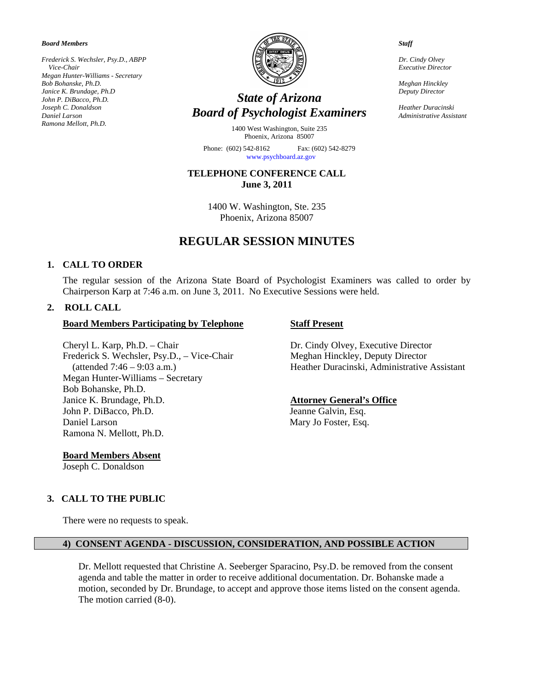*oard Members B*

*sler, Psy.D., ABPP Frederick S. Wech* Ramona Mellott, Ph.D.  *Vice-Chair Megan Hunter-Williams - Secretary Bob Bohanske, Ph.D. Janice K. Brundage, Ph.D John P. DiBacco, Ph.D. Joseph C. Donaldson Daniel Larson* 



# *State of Arizona Board of Psychologist Examiners*

1400 West Washington, Suite 235 Phoenix, Arizona 85007

Phone: (602) 542-8162 Fax: (602) 542-8279 www.psychboard.az.gov

**TELEPHONE CONFERENCE CALL June 3, 2011** 

> 1400 W. Washington, Ste. 235 Phoenix, Arizona 85007

# **REGULAR SESSION MINUTES**

#### 1. CALL TO ORDER

The regular session of the Arizona State Board of Psychologist Examiners was called to order by Chairperson Karp at 7:46 a.m. on June 3, 2011. No Executive Sessions were held.

## **2. ROLL CALL**

#### **Participating by Telephone Board Members Staff Present**

Cheryl L. Karp, Ph.D. – Chair Dr. Cindy Olvey, Executive Director Frederick S. Wechsler, Psy.D., - Vice-Chair Meghan Hinckley, Deputy Director Megan Hunter-Williams - Secretary Bob Bohanske, Ph.D. Janice K. Brundage, Ph Ramona N. Mellott, Ph.D. John P. DiBacco, Ph.D. Jeanne Galvin, Esq. Daniel Larson Mary Jo Foster, Esq.

**oard Members Absent B**

Joseph C. Donaldson

(attended 7:46 – 9:03 a.m.) Heather Duracinski, Administrative Assistant

## **Attorney General's Office**

#### **3. CALL TO THE PUBLIC**

There were no requests to speak.

#### **4) CONSENT AGENDA - DISCUSSION, CONSIDERATION, AND POSSIBLE ACTION**

Dr. Mellott requested that Christine A. Seeberger Sparacino, Psy.D. be removed from the consent motion, seconded by Dr. Brundage, to accept and approve those items listed on the consent agenda. agenda and table the matter in order to receive additional documentation. Dr. Bohanske made a The motion carried (8-0).

*taff S*

Dr. Cindy Olvey *Executive Director* 

*Meghan Hinckley Deputy Director* 

*ki Heather Duracins* **Administrative Assistant**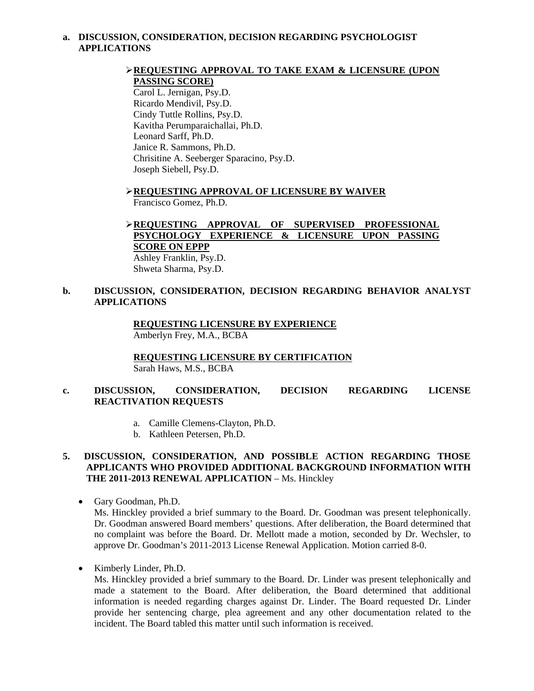#### **a. DISCUSSION, CONSIDERATION, DECISION REGARDING PSYCHOLOGIST APPLICATIONS**

## **EXAM & LICENSURE (UPON )** EXAM **REQUESTING APPROVAL TO TAKE EXAM & LICENSURE (UPON PASSING SCORE)**

Carol L. Jernigan, Psy.D. Kavitha Perumparaichallai, Ph.D. Janice R. Sammons, Ph.D. Chrisitine A. Seeberger Sparacino, Psy.D. Ricardo Mendivil, Psy.D. Cindy Tuttle Rollins, Psy.D. Leonard Sarff, Ph.D. Joseph Siebell, Psy.D.

 **EQUESTING APPROVAL OF LICENSURE BY WAIVER R** Francisco Gomez, Ph.D.

## **EQUESTING APPROVAL OF SUPERVISED PROFESSIONAL R PSYCHOLOGY EXPERIENCE & LICENSURE UPON PASSING SCORE ON EPPP**

Ashley Franklin, Psy.D. Shweta Sharma, Psy.D.

#### **. DISCUSSION, CONSIDERATION, DECISION REGARDING BEHAVIOR ANALYST b APPLICATIONS**

 **REQUESTING LICENSURE BY EXPERIENCE** Amberlyn Frey, M.A., BCBA

**REQUESTING LICENSURE BY CERTIFICATION** Sarah Haws, M.S., BCBA

#### **. DISCUSSION, CONSIDERATION, DECISION REGARDING LICENSE c REACTIVATION REQUESTS**

- a. Camille Clemens-Clayton, Ph.D.
- b. Kathleen Petersen, Ph.D.

#### **. DISCUSSION, CONSIDERATION, AND POSSIBLE ACTION REGARDING THOSE 5 APPLICANTS WHO PROVIDED ADDITIONAL BACKGROUND INFORMATION WITH**  THE 2011-2013 RENEWAL APPLICATION - Ms. Hinckley

- Gary Goodman, Ph.D. Ms. Hinckley provided a brief summary to the Board. Dr. Goodman was present telephonically. Dr. Goodman answered Board members' questions. After deliberation, the Board determined that no complaint was before the Board. Dr. Mellott made a motion, seconded by Dr. Wechsler, to approve Dr. Goodman's 2011-2013 License Renewal Application. Motion carried 8-0.
	- Kimberly Linder, Ph.D.

Ms. Hinckley provided a brief summary to the Board. Dr. Linder was present telephonically and made a statement to the Board. After deliberation, the Board determined that additional information is needed regarding charges against Dr. Linder. The Board requested Dr. Linder provide her sentencing charge, plea agreement and any other documentation related to the incident. The Board tabled this matter until such information is received.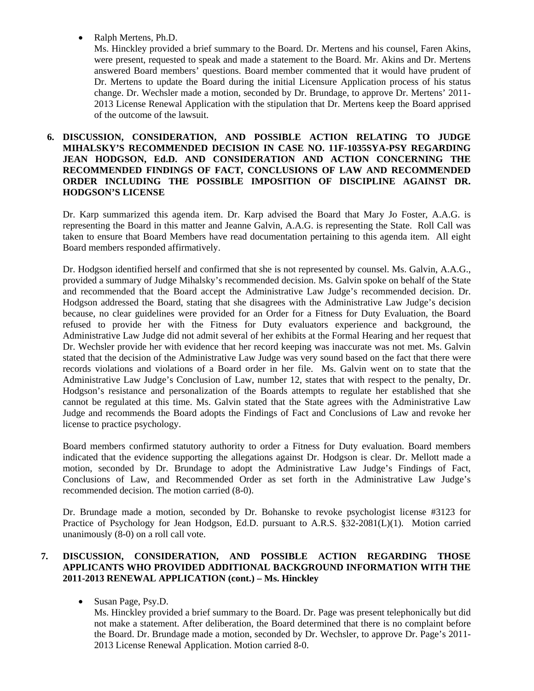• Ralph Mertens, Ph.D.

Ms. Hinckley provided a brief summary to the Board. Dr. Mertens and his counsel, Faren Akins, were present, requested to speak and made a statement to the Board. Mr. Akins and Dr. Mertens answered Board members' questions. Board member commented that it would have prudent of Dr. Mertens to update the Board during the initial Licensure Application process of his status change. Dr. Wechsler made a motion, seconded by Dr. Brundage, to approve Dr. Mertens' 2011- 2013 License Renewal Application with the stipulation that Dr. Mertens keep the Board apprised of the outcome of the lawsuit.

#### **6. DISCU SSION, CONSIDERATION, AND POSSIBLE ACTION RELATING TO JUDGE MIHALSKY'S RECOMMENDED DECISION IN CASE NO. 11F-1035SYA-PSY REGARDING** JEAN HODGSON, Ed.D. AND CONSIDERATION AND ACTION CONCERNING THE **RECOMMENDED FINDINGS OF FACT, CONCLUSIONS OF LAW AND RECOMMENDED ORDER INCLUDING THE POSSIBLE IMPOSITION OF DISCIPLINE AGAINST DR. HODGSON'S LICENSE**

representing the Board in this matter and Jeanne Galvin, A.A.G. is representing the State. Roll Call was taken to ensure that Board Members have read documentation pertaining to this agenda item. All eight Dr. Karp summarized this agenda item. Dr. Karp advised the Board that Mary Jo Foster, A.A.G. is Board members responded affirmatively.

provided a summary of Judge Mihalsky's recommended decision. Ms. Galvin spoke on behalf of the State and recommended that the Board accept the Administrative Law Judge's recommended decision. Dr. Dr. Hodgson identified herself and confirmed that she is not represented by counsel. Ms. Galvin, A.A.G., Hodgson addressed the Board, stating that she disagrees with the Administrative Law Judge's decision because, no clear guidelines were provided for an Order for a Fitness for Duty Evaluation, the Board refused to provide her with the Fitness for Duty evaluators experience and background, the Administrative Law Judge did not admit several of her exhibits at the Formal Hearing and her request that Dr. Wechsler provide her with evidence that her record keeping was inaccurate was not met. Ms. Galvin stated that the decision of the Administrative Law Judge was very sound based on the fact that there were records violations and violations of a Board order in her file. Ms. Galvin went on to state that the Administrative Law Judge's Conclusion of Law, number 12, states that with respect to the penalty, Dr. Hodgson's resistance and personalization of the Boards attempts to regulate her established that she cannot be regulated at this time. Ms. Galvin stated that the State agrees with the Administrative Law Judge and recommends the Board adopts the Findings of Fact and Conclusions of Law and revoke her license to practice psychology.

indicated that the evidence supporting the allegations against Dr. Hodgson is clear. Dr. Mellott made a motion, seconded by Dr. Brundage to adopt the Administrative Law Judge's Findings of Fact, Board members confirmed statutory authority to order a Fitness for Duty evaluation. Board members Conclusions of Law, and Recommended Order as set forth in the Administrative Law Judge's recommended decision. The motion carried (8-0).

Practice of Psychology for Jean Hodgson, Ed.D. pursuant to A.R.S. §32-2081(L)(1). Motion carried unanimously (8-0) on a roll call vote. Dr. Brundage made a motion, seconded by Dr. Bohanske to revoke psychologist license #3123 for

#### **7. APPLICANTS WHO PROVIDED ADDITIONAL BACKGROUND INFORMATION WITH THE 2011-2013 RENEWAL APPLICATION (cont.) – Ms. Hinckley DISCUSSION, CONSIDERATION, AND POSSIBLE ACTION REGARDING THOSE**

• Susan Page, Psy.D.

Ms. Hinckley provided a brief summary to the Board. Dr. Page was present telephonically but did not make a statement. After deliberation, the Board determined that there is no complaint before the Board. Dr. Brundage made a motion, seconded by Dr. Wechsler, to approve Dr. Page's 2011-2013 License Renewal Application. Motion carried 8-0.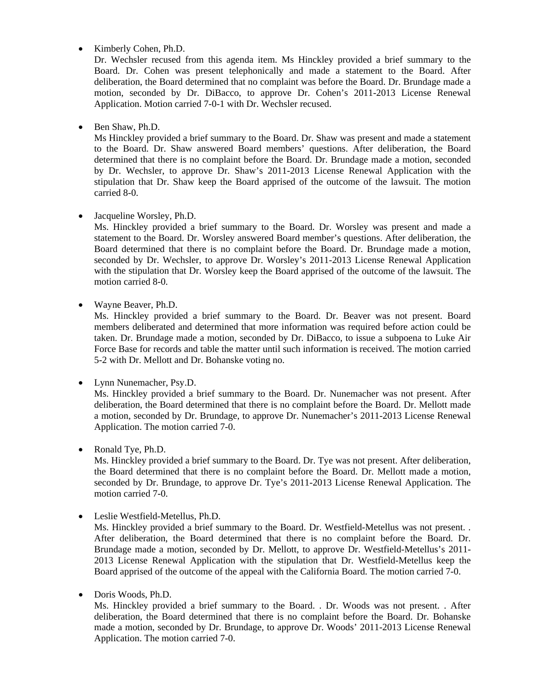$\bullet$ Kimberly Cohen, Ph.D.

deliberation, the Board determined that no complaint was before the Board. Dr. Brundage made a motion, seconded by Dr. DiBacco, to approve Dr. Cohen's 2011-2013 License Renewal Application. Motion carried 7-0-1 with Dr. Wechsler recused. Dr. Wechsler recused from this agenda item. Ms Hinckley provided a brief summary to the Board. Dr. Cohen was present telephonically and made a statement to the Board. After

 $\bullet$ Ben Shaw, Ph.D.

determined that there is no complaint before the Board. Dr. Brundage made a motion, seconded by Dr. Wechsler, to approve Dr. Shaw's 2011-2013 License Renewal Application with the stipulation that Dr. Shaw keep the Board apprised of the outcome of the lawsuit. The motion Ms Hinckley provided a brief summary to the Board. Dr. Shaw was present and made a statement to the Board. Dr. Shaw answered Board members' questions. After deliberation, the Board carried 8-0.

Jacqueline Worsley, Ph.D.

Board determined that there is no complaint before the Board. Dr. Brundage made a motion, seconded by Dr. Wechsler, to approve Dr. Worsley's 2011-2013 License Renewal Application with the stipulation that Dr. Worsley keep the Board apprised of the outcome of the lawsuit. The Ms. Hinckley provided a brief summary to the Board. Dr. Worsley was present and made a statement to the Board. Dr. Worsley answered Board member's questions. After deliberation, the motion carried 8-0.

Wayne Beaver, Ph.D.

taken. Dr. Brundage made a motion, seconded by Dr. DiBacco, to issue a subpoena to Luke Air Force Base for records and table the matter until such information is received. The motion carried 5-2 with Dr. Mellott and Dr. Bohanske voting no. Ms. Hinckley provided a brief summary to the Board. Dr. Beaver was not present. Board members deliberated and determined that more information was required before action could be

• Lynn Nunemacher, Psy.D.

a motion, seconded by Dr. Brundage, to approve Dr. Nunemacher's 2011-2013 License Renewal Application. The motion carried 7-0. Ms. Hinckley provided a brief summary to the Board. Dr. Nunemacher was not present. After deliberation, the Board determined that there is no complaint before the Board. Dr. Mellott made

 $\bullet$ Ronald Tye, Ph.D.

seconded by Dr. Brundage, to approve Dr. Tye's 2011-2013 License Renewal Application. The motion carried 7-0. Ms. Hinckley provided a brief summary to the Board. Dr. Tye was not present. After deliberation, the Board determined that there is no complaint before the Board. Dr. Mellott made a motion,

Leslie Westfield-Metellus, Ph.D.

Brundage made a motion, seconded by Dr. Mellott, to approve Dr. Westfield-Metellus's 2011-2013 License Renewal Application with the stipulation that Dr. Westfield-Metellus keep the Board apprised of the outcome of the appeal with the California Board. The motion carried 7-0. Ms. Hinckley provided a brief summary to the Board. Dr. Westfield-Metellus was not present. . After deliberation, the Board determined that there is no complaint before the Board. Dr.

Doris Woods, Ph.D.

made a motion, seconded by Dr. Brundage, to approve Dr. Woods' 2011-2013 License Renewal Application. The motion carried 7-0. Ms. Hinckley provided a brief summary to the Board. . Dr. Woods was not present. . After deliberation, the Board determined that there is no complaint before the Board. Dr. Bohanske